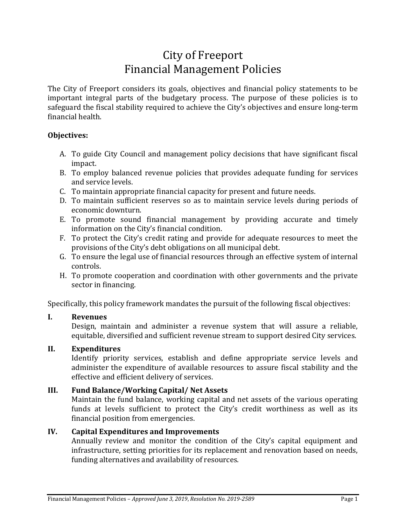## City of Freeport Financial Management Policies

The City of Freeport considers its goals, objectives and financial policy statements to be important integral parts of the budgetary process. The purpose of these policies is to safeguard the fiscal stability required to achieve the City's objectives and ensure long-term financial health.

### **Objectives:**

- A. To guide City Council and management policy decisions that have significant fiscal impact.
- B. To employ balanced revenue policies that provides adequate funding for services and service levels.
- C. To maintain appropriate financial capacity for present and future needs.
- D. To maintain sufficient reserves so as to maintain service levels during periods of economic downturn.
- E. To promote sound financial management by providing accurate and timely information on the City's financial condition.
- F. To protect the City's credit rating and provide for adequate resources to meet the provisions of the City's debt obligations on all municipal debt.
- G. To ensure the legal use of financial resources through an effective system of internal controls.
- H. To promote cooperation and coordination with other governments and the private sector in financing.

Specifically, this policy framework mandates the pursuit of the following fiscal objectives:

## **I. Revenues**

Design, maintain and administer a revenue system that will assure a reliable, equitable, diversified and sufficient revenue stream to support desired City services.

## **II. Expenditures**

Identify priority services, establish and define appropriate service levels and administer the expenditure of available resources to assure fiscal stability and the effective and efficient delivery of services.

## **III. Fund Balance/Working Capital/ Net Assets**

Maintain the fund balance, working capital and net assets of the various operating funds at levels sufficient to protect the City's credit worthiness as well as its financial position from emergencies.

## **IV. Capital Expenditures and Improvements**

Annually review and monitor the condition of the City's capital equipment and infrastructure, setting priorities for its replacement and renovation based on needs, funding alternatives and availability of resources.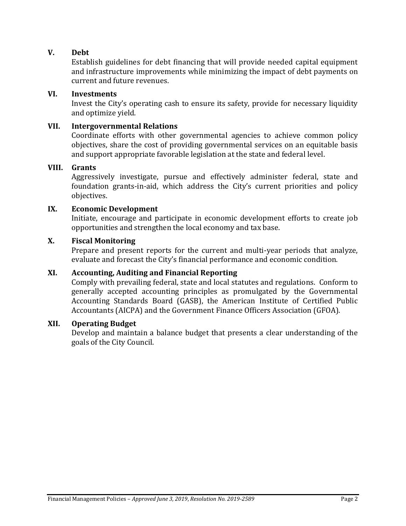## **V. Debt**

Establish guidelines for debt financing that will provide needed capital equipment and infrastructure improvements while minimizing the impact of debt payments on current and future revenues.

#### **VI. Investments**

Invest the City's operating cash to ensure its safety, provide for necessary liquidity and optimize yield.

#### **VII. Intergovernmental Relations**

Coordinate efforts with other governmental agencies to achieve common policy objectives, share the cost of providing governmental services on an equitable basis and support appropriate favorable legislation at the state and federal level.

#### **VIII. Grants**

Aggressively investigate, pursue and effectively administer federal, state and foundation grants-in-aid, which address the City's current priorities and policy objectives.

#### **IX. Economic Development**

Initiate, encourage and participate in economic development efforts to create job opportunities and strengthen the local economy and tax base.

#### **X. Fiscal Monitoring**

Prepare and present reports for the current and multi-year periods that analyze, evaluate and forecast the City's financial performance and economic condition.

#### **XI. Accounting, Auditing and Financial Reporting**

Comply with prevailing federal, state and local statutes and regulations. Conform to generally accepted accounting principles as promulgated by the Governmental Accounting Standards Board (GASB), the American Institute of Certified Public Accountants (AICPA) and the Government Finance Officers Association (GFOA).

#### **XII. Operating Budget**

Develop and maintain a balance budget that presents a clear understanding of the goals of the City Council.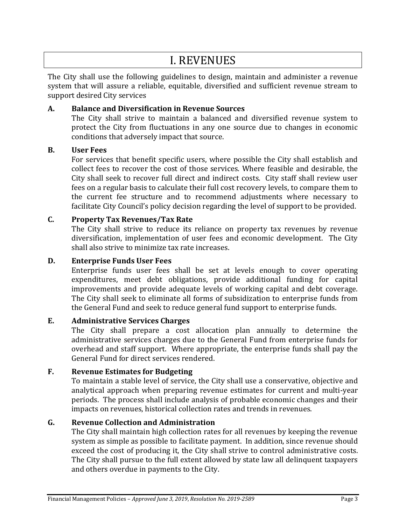## I. REVENUES

The City shall use the following guidelines to design, maintain and administer a revenue system that will assure a reliable, equitable, diversified and sufficient revenue stream to support desired City services

### **A. Balance and Diversification in Revenue Sources**

The City shall strive to maintain a balanced and diversified revenue system to protect the City from fluctuations in any one source due to changes in economic conditions that adversely impact that source.

### **B. User Fees**

For services that benefit specific users, where possible the City shall establish and collect fees to recover the cost of those services. Where feasible and desirable, the City shall seek to recover full direct and indirect costs. City staff shall review user fees on a regular basis to calculate their full cost recovery levels, to compare them to the current fee structure and to recommend adjustments where necessary to facilitate City Council's policy decision regarding the level of support to be provided.

## **C. Property Tax Revenues/Tax Rate**

The City shall strive to reduce its reliance on property tax revenues by revenue diversification, implementation of user fees and economic development. The City shall also strive to minimize tax rate increases.

### **D. Enterprise Funds User Fees**

Enterprise funds user fees shall be set at levels enough to cover operating expenditures, meet debt obligations, provide additional funding for capital improvements and provide adequate levels of working capital and debt coverage. The City shall seek to eliminate all forms of subsidization to enterprise funds from the General Fund and seek to reduce general fund support to enterprise funds.

## **E. Administrative Services Charges**

The City shall prepare a cost allocation plan annually to determine the administrative services charges due to the General Fund from enterprise funds for overhead and staff support. Where appropriate, the enterprise funds shall pay the General Fund for direct services rendered.

#### **F. Revenue Estimates for Budgeting**

To maintain a stable level of service, the City shall use a conservative, objective and analytical approach when preparing revenue estimates for current and multi-year periods. The process shall include analysis of probable economic changes and their impacts on revenues, historical collection rates and trends in revenues.

## **G. Revenue Collection and Administration**

The City shall maintain high collection rates for all revenues by keeping the revenue system as simple as possible to facilitate payment. In addition, since revenue should exceed the cost of producing it, the City shall strive to control administrative costs. The City shall pursue to the full extent allowed by state law all delinquent taxpayers and others overdue in payments to the City.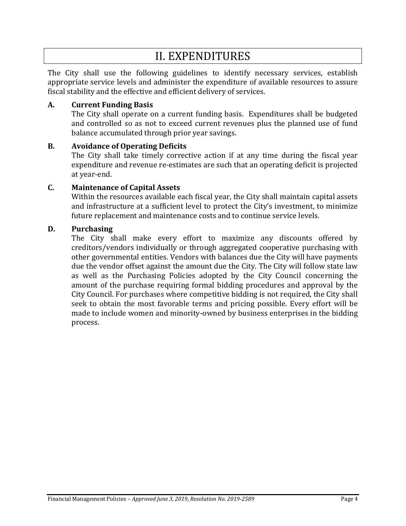# II. EXPENDITURES

The City shall use the following guidelines to identify necessary services, establish appropriate service levels and administer the expenditure of available resources to assure fiscal stability and the effective and efficient delivery of services.

#### **A. Current Funding Basis**

The City shall operate on a current funding basis. Expenditures shall be budgeted and controlled so as not to exceed current revenues plus the planned use of fund balance accumulated through prior year savings.

#### **B. Avoidance of Operating Deficits**

The City shall take timely corrective action if at any time during the fiscal year expenditure and revenue re-estimates are such that an operating deficit is projected at year-end.

### **C. Maintenance of Capital Assets**

Within the resources available each fiscal year, the City shall maintain capital assets and infrastructure at a sufficient level to protect the City's investment, to minimize future replacement and maintenance costs and to continue service levels.

### **D. Purchasing**

The City shall make every effort to maximize any discounts offered by creditors/vendors individually or through aggregated cooperative purchasing with other governmental entities. Vendors with balances due the City will have payments due the vendor offset against the amount due the City. The City will follow state law as well as the Purchasing Policies adopted by the City Council concerning the amount of the purchase requiring formal bidding procedures and approval by the City Council. For purchases where competitive bidding is not required, the City shall seek to obtain the most favorable terms and pricing possible. Every effort will be made to include women and minority-owned by business enterprises in the bidding process.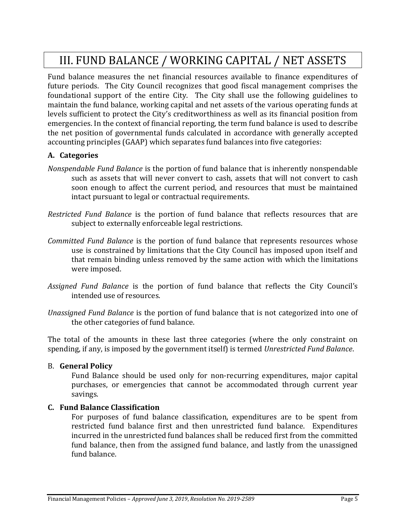# III. FUND BALANCE / WORKING CAPITAL / NET ASSETS

Fund balance measures the net financial resources available to finance expenditures of future periods. The City Council recognizes that good fiscal management comprises the foundational support of the entire City. The City shall use the following guidelines to maintain the fund balance, working capital and net assets of the various operating funds at levels sufficient to protect the City's creditworthiness as well as its financial position from emergencies. In the context of financial reporting, the term fund balance is used to describe the net position of governmental funds calculated in accordance with generally accepted accounting principles (GAAP) which separates fund balances into five categories:

## **A. Categories**

- *Nonspendable Fund Balance* is the portion of fund balance that is inherently nonspendable such as assets that will never convert to cash, assets that will not convert to cash soon enough to affect the current period, and resources that must be maintained intact pursuant to legal or contractual requirements.
- *Restricted Fund Balance* is the portion of fund balance that reflects resources that are subject to externally enforceable legal restrictions.
- *Committed Fund Balance* is the portion of fund balance that represents resources whose use is constrained by limitations that the City Council has imposed upon itself and that remain binding unless removed by the same action with which the limitations were imposed.
- *Assigned Fund Balance* is the portion of fund balance that reflects the City Council's intended use of resources.
- *Unassigned Fund Balance* is the portion of fund balance that is not categorized into one of the other categories of fund balance.

The total of the amounts in these last three categories (where the only constraint on spending, if any, is imposed by the government itself) is termed *Unrestricted Fund Balance*.

#### B. **General Policy**

Fund Balance should be used only for non-recurring expenditures, major capital purchases, or emergencies that cannot be accommodated through current year savings.

#### **C. Fund Balance Classification**

For purposes of fund balance classification, expenditures are to be spent from restricted fund balance first and then unrestricted fund balance. Expenditures incurred in the unrestricted fund balances shall be reduced first from the committed fund balance, then from the assigned fund balance, and lastly from the unassigned fund balance.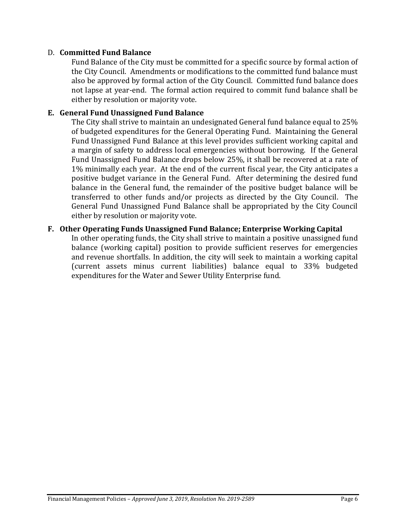#### D. **Committed Fund Balance**

Fund Balance of the City must be committed for a specific source by formal action of the City Council. Amendments or modifications to the committed fund balance must also be approved by formal action of the City Council. Committed fund balance does not lapse at year-end. The formal action required to commit fund balance shall be either by resolution or majority vote.

#### **E. General Fund Unassigned Fund Balance**

The City shall strive to maintain an undesignated General fund balance equal to 25% of budgeted expenditures for the General Operating Fund. Maintaining the General Fund Unassigned Fund Balance at this level provides sufficient working capital and a margin of safety to address local emergencies without borrowing. If the General Fund Unassigned Fund Balance drops below 25%, it shall be recovered at a rate of 1% minimally each year. At the end of the current fiscal year, the City anticipates a positive budget variance in the General Fund. After determining the desired fund balance in the General fund, the remainder of the positive budget balance will be transferred to other funds and/or projects as directed by the City Council. The General Fund Unassigned Fund Balance shall be appropriated by the City Council either by resolution or majority vote.

#### **F. Other Operating Funds Unassigned Fund Balance; Enterprise Working Capital**

In other operating funds, the City shall strive to maintain a positive unassigned fund balance (working capital) position to provide sufficient reserves for emergencies and revenue shortfalls. In addition, the city will seek to maintain a working capital (current assets minus current liabilities) balance equal to 33% budgeted expenditures for the Water and Sewer Utility Enterprise fund.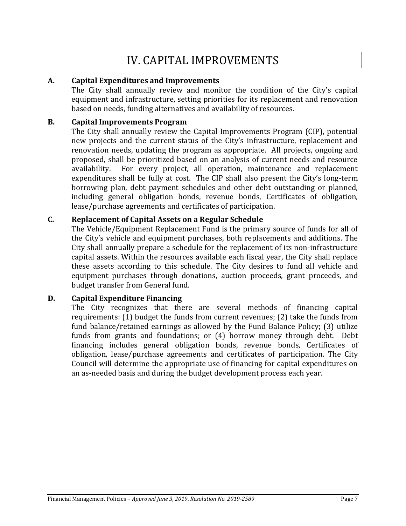## IV. CAPITAL IMPROVEMENTS

### **A. Capital Expenditures and Improvements**

The City shall annually review and monitor the condition of the City's capital equipment and infrastructure, setting priorities for its replacement and renovation based on needs, funding alternatives and availability of resources.

#### **B. Capital Improvements Program**

The City shall annually review the Capital Improvements Program (CIP), potential new projects and the current status of the City's infrastructure, replacement and renovation needs, updating the program as appropriate. All projects, ongoing and proposed, shall be prioritized based on an analysis of current needs and resource availability. For every project, all operation, maintenance and replacement expenditures shall be fully at cost. The CIP shall also present the City's long-term borrowing plan, debt payment schedules and other debt outstanding or planned, including general obligation bonds, revenue bonds, Certificates of obligation, lease/purchase agreements and certificates of participation.

### **C. Replacement of Capital Assets on a Regular Schedule**

The Vehicle/Equipment Replacement Fund is the primary source of funds for all of the City's vehicle and equipment purchases, both replacements and additions. The City shall annually prepare a schedule for the replacement of its non-infrastructure capital assets. Within the resources available each fiscal year, the City shall replace these assets according to this schedule. The City desires to fund all vehicle and equipment purchases through donations, auction proceeds, grant proceeds, and budget transfer from General fund.

#### **D. Capital Expenditure Financing**

The City recognizes that there are several methods of financing capital requirements: (1) budget the funds from current revenues; (2) take the funds from fund balance/retained earnings as allowed by the Fund Balance Policy; (3) utilize funds from grants and foundations; or (4) borrow money through debt. Debt financing includes general obligation bonds, revenue bonds, Certificates of obligation, lease/purchase agreements and certificates of participation. The City Council will determine the appropriate use of financing for capital expenditures on an as-needed basis and during the budget development process each year.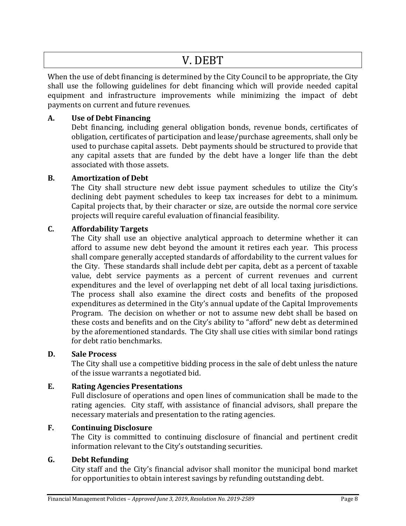## V. DEBT

When the use of debt financing is determined by the City Council to be appropriate, the City shall use the following guidelines for debt financing which will provide needed capital equipment and infrastructure improvements while minimizing the impact of debt payments on current and future revenues.

## **A. Use of Debt Financing**

Debt financing, including general obligation bonds, revenue bonds, certificates of obligation, certificates of participation and lease/purchase agreements, shall only be used to purchase capital assets. Debt payments should be structured to provide that any capital assets that are funded by the debt have a longer life than the debt associated with those assets.

### **B. Amortization of Debt**

The City shall structure new debt issue payment schedules to utilize the City's declining debt payment schedules to keep tax increases for debt to a minimum. Capital projects that, by their character or size, are outside the normal core service projects will require careful evaluation of financial feasibility.

### **C. Affordability Targets**

The City shall use an objective analytical approach to determine whether it can afford to assume new debt beyond the amount it retires each year. This process shall compare generally accepted standards of affordability to the current values for the City. These standards shall include debt per capita, debt as a percent of taxable value, debt service payments as a percent of current revenues and current expenditures and the level of overlapping net debt of all local taxing jurisdictions. The process shall also examine the direct costs and benefits of the proposed expenditures as determined in the City's annual update of the Capital Improvements Program. The decision on whether or not to assume new debt shall be based on these costs and benefits and on the City's ability to "afford" new debt as determined by the aforementioned standards. The City shall use cities with similar bond ratings for debt ratio benchmarks.

#### **D. Sale Process**

The City shall use a competitive bidding process in the sale of debt unless the nature of the issue warrants a negotiated bid.

#### **E. Rating Agencies Presentations**

Full disclosure of operations and open lines of communication shall be made to the rating agencies. City staff, with assistance of financial advisors, shall prepare the necessary materials and presentation to the rating agencies.

### **F. Continuing Disclosure**

The City is committed to continuing disclosure of financial and pertinent credit information relevant to the City's outstanding securities.

## **G. Debt Refunding**

City staff and the City's financial advisor shall monitor the municipal bond market for opportunities to obtain interest savings by refunding outstanding debt.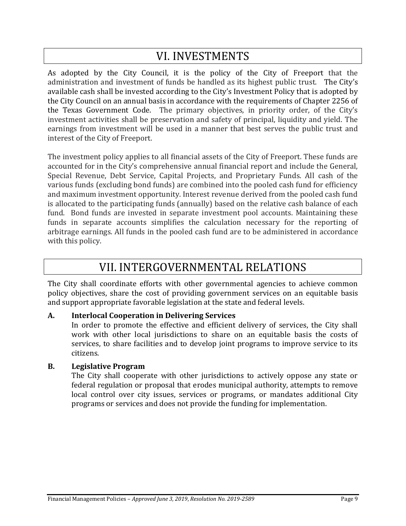# VI. INVESTMENTS

As adopted by the City Council, it is the policy of the City of Freeport that the administration and investment of funds be handled as its highest public trust. The City's available cash shall be invested according to the City's Investment Policy that is adopted by the City Council on an annual basis in accordance with the requirements of Chapter 2256 of the Texas Government Code. The primary objectives, in priority order, of the City's investment activities shall be preservation and safety of principal, liquidity and yield. The earnings from investment will be used in a manner that best serves the public trust and interest of the City of Freeport.

The investment policy applies to all financial assets of the City of Freeport. These funds are accounted for in the City's comprehensive annual financial report and include the General, Special Revenue, Debt Service, Capital Projects, and Proprietary Funds. All cash of the various funds (excluding bond funds) are combined into the pooled cash fund for efficiency and maximum investment opportunity. Interest revenue derived from the pooled cash fund is allocated to the participating funds (annually) based on the relative cash balance of each fund. Bond funds are invested in separate investment pool accounts. Maintaining these funds in separate accounts simplifies the calculation necessary for the reporting of arbitrage earnings. All funds in the pooled cash fund are to be administered in accordance with this policy.

# VII. INTERGOVERNMENTAL RELATIONS

The City shall coordinate efforts with other governmental agencies to achieve common policy objectives, share the cost of providing government services on an equitable basis and support appropriate favorable legislation at the state and federal levels.

## **A. Interlocal Cooperation in Delivering Services**

In order to promote the effective and efficient delivery of services, the City shall work with other local jurisdictions to share on an equitable basis the costs of services, to share facilities and to develop joint programs to improve service to its citizens.

## **B. Legislative Program**

The City shall cooperate with other jurisdictions to actively oppose any state or federal regulation or proposal that erodes municipal authority, attempts to remove local control over city issues, services or programs, or mandates additional City programs or services and does not provide the funding for implementation.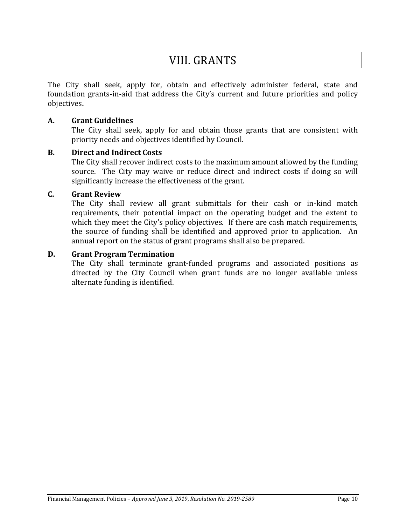## VIII. GRANTS

The City shall seek, apply for, obtain and effectively administer federal, state and foundation grants-in-aid that address the City's current and future priorities and policy objectives**.**

#### **A. Grant Guidelines**

The City shall seek, apply for and obtain those grants that are consistent with priority needs and objectives identified by Council.

### **B. Direct and Indirect Costs**

The City shall recover indirect costs to the maximum amount allowed by the funding source. The City may waive or reduce direct and indirect costs if doing so will significantly increase the effectiveness of the grant.

#### **C. Grant Review**

The City shall review all grant submittals for their cash or in-kind match requirements, their potential impact on the operating budget and the extent to which they meet the City's policy objectives. If there are cash match requirements, the source of funding shall be identified and approved prior to application. An annual report on the status of grant programs shall also be prepared.

#### **D. Grant Program Termination**

The City shall terminate grant-funded programs and associated positions as directed by the City Council when grant funds are no longer available unless alternate funding is identified.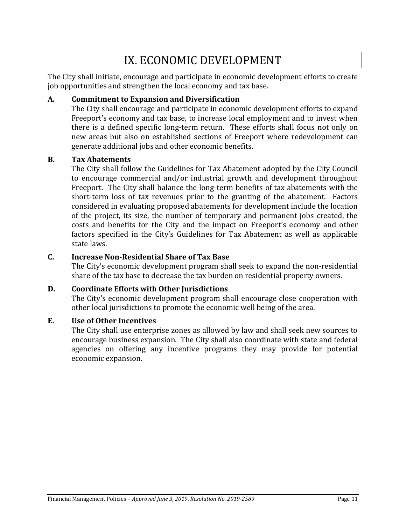## IX. ECONOMIC DEVELOPMENT

The City shall initiate, encourage and participate in economic development efforts to create job opportunities and strengthen the local economy and tax base.

### **A. Commitment to Expansion and Diversification**

The City shall encourage and participate in economic development efforts to expand Freeport's economy and tax base, to increase local employment and to invest when there is a defined specific long-term return. These efforts shall focus not only on new areas but also on established sections of Freeport where redevelopment can generate additional jobs and other economic benefits.

#### **B. Tax Abatements**

The City shall follow the Guidelines for Tax Abatement adopted by the City Council to encourage commercial and/or industrial growth and development throughout Freeport. The City shall balance the long-term benefits of tax abatements with the short-term loss of tax revenues prior to the granting of the abatement. Factors considered in evaluating proposed abatements for development include the location of the project, its size, the number of temporary and permanent jobs created, the costs and benefits for the City and the impact on Freeport's economy and other factors specified in the City's Guidelines for Tax Abatement as well as applicable state laws.

## **C. Increase Non-Residential Share of Tax Base**

The City's economic development program shall seek to expand the non-residential share of the tax base to decrease the tax burden on residential property owners.

## **D. Coordinate Efforts with Other Jurisdictions**

The City's economic development program shall encourage close cooperation with other local jurisdictions to promote the economic well being of the area.

#### **E. Use of Other Incentives**

The City shall use enterprise zones as allowed by law and shall seek new sources to encourage business expansion. The City shall also coordinate with state and federal agencies on offering any incentive programs they may provide for potential economic expansion.